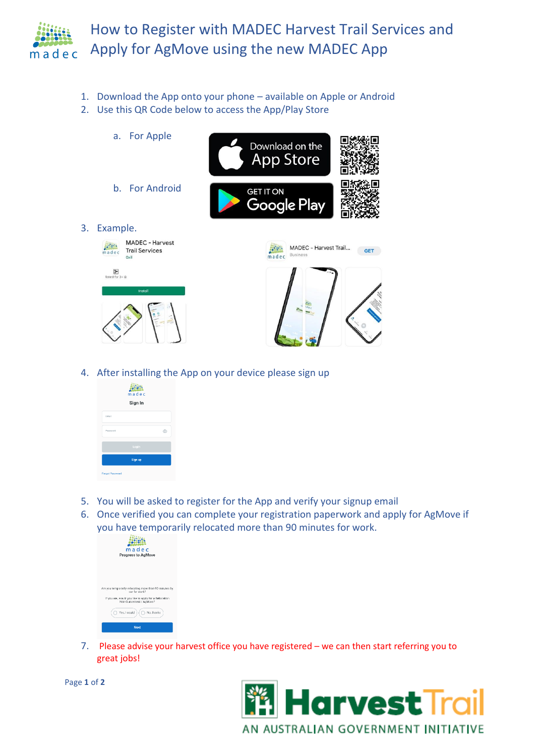

- 1. Download the App onto your phone available on Apple or Android
- 2. Use this QR Code below to access the App/Play Store
- a. For Apple Download on the **App Store** b. For Android **GET IT ON** Google Play 3. Example. MADEC - Harvest **Alling** MADEC - Harvest Trail... -**Trail Services GET** Busi  $m = d e c$  $\sqrt{3+}$ <br>Rated for 3+ 0
- 4. After installing the App on your device please sign up
	- **Alling** Sign In
- 5. You will be asked to register for the App and verify your signup email
- 6. Once verified you can complete your registration paperwork and apply for AgMove if you have temporarily relocated more than 90 minutes for work.

| madec                                                                           |
|---------------------------------------------------------------------------------|
| <b>Progress to AgMove</b>                                                       |
|                                                                                 |
|                                                                                 |
|                                                                                 |
|                                                                                 |
|                                                                                 |
|                                                                                 |
| Are you temporarily relocating more than 90 minutes by<br>car for work?         |
| If you are, would you like to apply for a Relocation<br>Reimbursement / AgMove? |
|                                                                                 |
| Yes, I would<br>No, thanks                                                      |
|                                                                                 |
| <b>Next</b>                                                                     |
|                                                                                 |

7. Please advise your harvest office you have registered – we can then start referring you to great jobs!